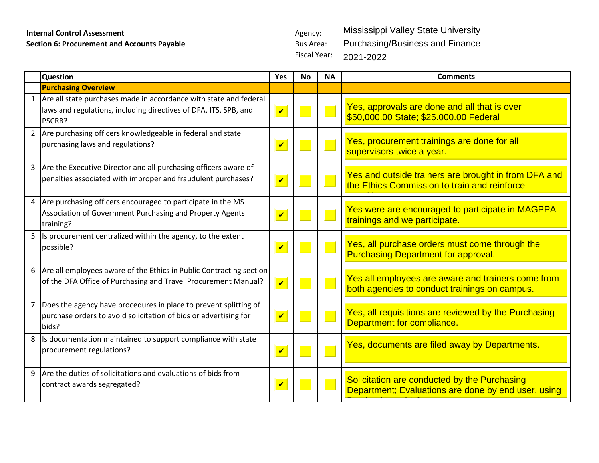## **Internal Control Assessment** Agency:

**Section 6: Procurement and Accounts Payable Bus Area:** Bus Area:

Fiscal Year: Mississippi Valley State University Purchasing/Business and Finance 2021-2022

|                | <b>Question</b>                                                                                                                                   | Yes                        | <b>No</b> | <b>NA</b> | <b>Comments</b>                                                                                      |
|----------------|---------------------------------------------------------------------------------------------------------------------------------------------------|----------------------------|-----------|-----------|------------------------------------------------------------------------------------------------------|
|                | <b>Purchasing Overview</b>                                                                                                                        |                            |           |           |                                                                                                      |
|                | 1 Are all state purchases made in accordance with state and federal<br>laws and regulations, including directives of DFA, ITS, SPB, and<br>PSCRB? | $\overline{\mathbf{v}}$    |           |           | Yes, approvals are done and all that is over<br>\$50,000.00 State; \$25.000.00 Federal               |
|                | 2 Are purchasing officers knowledgeable in federal and state<br>purchasing laws and regulations?                                                  | $\boldsymbol{\mathcal{U}}$ |           |           | Yes, procurement trainings are done for all<br>supervisors twice a year.                             |
|                | 3 Are the Executive Director and all purchasing officers aware of<br>penalties associated with improper and fraudulent purchases?                 | $\boldsymbol{\nu}$         |           |           | Yes and outside trainers are brought in from DFA and<br>the Ethics Commission to train and reinforce |
|                | 4 Are purchasing officers encouraged to participate in the MS<br>Association of Government Purchasing and Property Agents<br>training?            | $\boldsymbol{\mathcal{U}}$ |           |           | Yes were are encouraged to participate in MAGPPA<br>trainings and we participate.                    |
|                | 5 Is procurement centralized within the agency, to the extent<br>possible?                                                                        | $\boldsymbol{\mathcal{U}}$ |           |           | Yes, all purchase orders must come through the<br><b>Purchasing Department for approval.</b>         |
|                | 6 Are all employees aware of the Ethics in Public Contracting section<br>of the DFA Office of Purchasing and Travel Procurement Manual?           | $\boldsymbol{\mathcal{U}}$ |           |           | Yes all employees are aware and trainers come from<br>both agencies to conduct trainings on campus.  |
| $\overline{7}$ | Does the agency have procedures in place to prevent splitting of<br>purchase orders to avoid solicitation of bids or advertising for<br>bids?     | $\overline{\mathbf{v}}$    |           |           | Yes, all requisitions are reviewed by the Purchasing<br>Department for compliance.                   |
|                | 8 Is documentation maintained to support compliance with state<br>procurement regulations?                                                        | $\boldsymbol{\nu}$         |           |           | Yes, documents are filed away by Departments.                                                        |
| 9              | Are the duties of solicitations and evaluations of bids from<br>contract awards segregated?                                                       | $\boldsymbol{\nu}$         |           |           | Solicitation are conducted by the Purchasing<br>Department; Evaluations are done by end user, using  |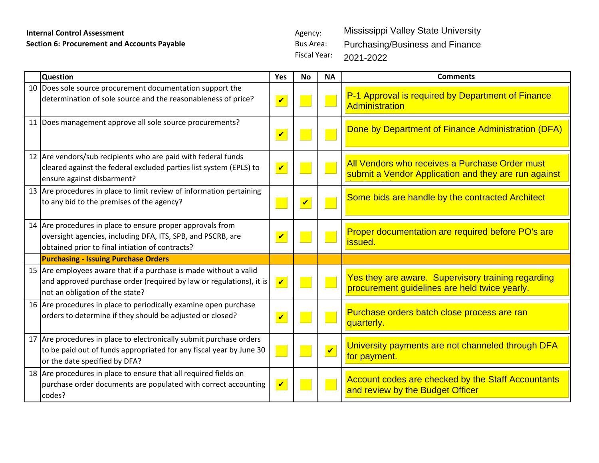## **Internal Control Assessment** Agency:

**Section 6: Procurement and Accounts Payable Bus Area:** Bus Area: Fiscal Year:

Mississippi Valley State University Purchasing/Business and Finance 2021-2022

| <b>Question</b>                                                                                                                                                              | Yes                        | <b>No</b>               | <b>NA</b>               | <b>Comments</b>                                                                                        |
|------------------------------------------------------------------------------------------------------------------------------------------------------------------------------|----------------------------|-------------------------|-------------------------|--------------------------------------------------------------------------------------------------------|
| 10 Does sole source procurement documentation support the<br>determination of sole source and the reasonableness of price?                                                   | $\boldsymbol{\mathcal{U}}$ |                         |                         | P-1 Approval is required by Department of Finance<br>Administration                                    |
| 11 Does management approve all sole source procurements?                                                                                                                     | $\boldsymbol{\mathcal{U}}$ |                         |                         | Done by Department of Finance Administration (DFA)                                                     |
| 12 Are vendors/sub recipients who are paid with federal funds<br>cleared against the federal excluded parties list system (EPLS) to<br>ensure against disbarment?            | $\boldsymbol{\mathcal{U}}$ |                         |                         | All Vendors who receives a Purchase Order must<br>submit a Vendor Application and they are run against |
| 13 Are procedures in place to limit review of information pertaining<br>to any bid to the premises of the agency?                                                            |                            | $\overline{\mathbf{v}}$ |                         | Some bids are handle by the contracted Architect                                                       |
| 14 Are procedures in place to ensure proper approvals from<br>oversight agencies, including DFA, ITS, SPB, and PSCRB, are<br>obtained prior to final intiation of contracts? | $\overline{\mathbf{v}}$    |                         |                         | Proper documentation are required before PO's are<br>issued.                                           |
| <b>Purchasing - Issuing Purchase Orders</b>                                                                                                                                  |                            |                         |                         |                                                                                                        |
| 15 Are employees aware that if a purchase is made without a valid<br>and approved purchase order (required by law or regulations), it is<br>not an obligation of the state?  | $\overline{\mathbf{v}}$    |                         |                         | Yes they are aware. Supervisory training regarding<br>procurement guidelines are held twice yearly.    |
| 16 Are procedures in place to periodically examine open purchase<br>orders to determine if they should be adjusted or closed?                                                | $\boldsymbol{\mathcal{U}}$ |                         |                         | Purchase orders batch close process are ran<br>quarterly.                                              |
| 17 Are procedures in place to electronically submit purchase orders<br>to be paid out of funds appropriated for any fiscal year by June 30<br>or the date specified by DFA?  |                            |                         | $\overline{\mathbf{v}}$ | University payments are not channeled through DFA<br>for payment.                                      |
| 18 Are procedures in place to ensure that all required fields on<br>purchase order documents are populated with correct accounting<br>codes?                                 | $\boldsymbol{\mathcal{U}}$ |                         |                         | Account codes are checked by the Staff Accountants<br>and review by the Budget Officer                 |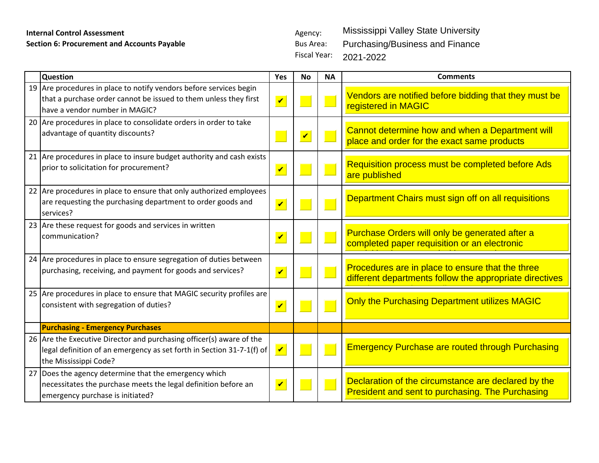## **Internal Control Assessment** Agency: **Section 6: Procurement and Accounts Payable** Bus Area: Bus Area:

Fiscal Year: Mississippi Valley State University Purchasing/Business and Finance 2021-2022

| <b>Question</b>                                                                                                                                                          | Yes                        | <b>No</b>               | <b>NA</b> | <b>Comments</b>                                                                                                |
|--------------------------------------------------------------------------------------------------------------------------------------------------------------------------|----------------------------|-------------------------|-----------|----------------------------------------------------------------------------------------------------------------|
| 19 Are procedures in place to notify vendors before services begin<br>that a purchase order cannot be issued to them unless they first<br>have a vendor number in MAGIC? | $\boldsymbol{\mathcal{U}}$ |                         |           | Vendors are notified before bidding that they must be<br>registered in MAGIC                                   |
| 20 Are procedures in place to consolidate orders in order to take<br>advantage of quantity discounts?                                                                    |                            | $\overline{\mathbf{v}}$ |           | Cannot determine how and when a Department will<br>place and order for the exact same products                 |
| 21 Are procedures in place to insure budget authority and cash exists<br>prior to solicitation for procurement?                                                          | $\overline{\mathbf{v}}$    |                         |           | Requisition process must be completed before Ads<br>are published                                              |
| 22 Are procedures in place to ensure that only authorized employees<br>are requesting the purchasing department to order goods and<br>services?                          | $\overline{\mathbf{v}}$    |                         |           | Department Chairs must sign off on all requisitions                                                            |
| 23 Are these request for goods and services in written<br>communication?                                                                                                 | $\overline{\mathbf{v}}$    |                         |           | Purchase Orders will only be generated after a<br>completed paper requisition or an electronic                 |
| 24 Are procedures in place to ensure segregation of duties between<br>purchasing, receiving, and payment for goods and services?                                         | $\checkmark$               |                         |           | Procedures are in place to ensure that the three<br>different departments follow the appropriate directives    |
| 25 Are procedures in place to ensure that MAGIC security profiles are<br>consistent with segregation of duties?                                                          | $\overline{\mathbf{v}}$    |                         |           | Only the Purchasing Department utilizes MAGIC                                                                  |
| <b>Purchasing - Emergency Purchases</b>                                                                                                                                  |                            |                         |           |                                                                                                                |
| 26 Are the Executive Director and purchasing officer(s) aware of the<br>legal definition of an emergency as set forth in Section 31-7-1(f) of<br>the Mississippi Code?   | $\overline{\mathbf{v}}$    |                         |           | <b>Emergency Purchase are routed through Purchasing</b>                                                        |
| 27 Does the agency determine that the emergency which<br>necessitates the purchase meets the legal definition before an<br>emergency purchase is initiated?              | $\overline{\mathbf{v}}$    |                         |           | Declaration of the circumstance are declared by the<br><b>President and sent to purchasing. The Purchasing</b> |